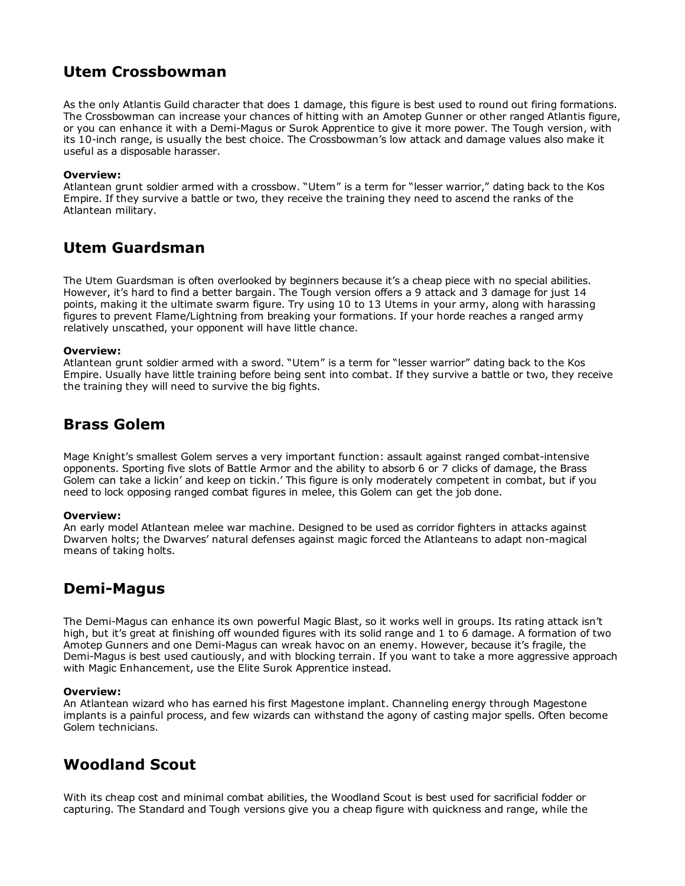# Utem Crossbowman

As the only Atlantis Guild character that does 1 damage, this figure is best used to round out firing formations. The Crossbowman can increase your chances of hitting with an Amotep Gunner or other ranged Atlantis figure, or you can enhance it with a Demi-Magus or Surok Apprentice to give it more power. The Tough version, with its 10-inch range, is usually the best choice. The Crossbowman's low attack and damage values also make it useful as a disposable harasser.

### Overview:

Atlantean grunt soldier armed with a crossbow. "Utem" is a term for "lesser warrior," dating back to the Kos Empire. If they survive a battle or two, they receive the training they need to ascend the ranks of the Atlantean military.

# Utem Guardsman

The Utem Guardsman is often overlooked by beginners because it's a cheap piece with no special abilities. However, it's hard to find a better bargain. The Tough version offers a 9 attack and 3 damage for just 14 points, making it the ultimate swarm figure. Try using 10 to 13 Utems in your army, along with harassing figures to prevent Flame/Lightning from breaking your formations. If your horde reaches a ranged army relatively unscathed, your opponent will have little chance.

### Overview:

Atlantean grunt soldier armed with a sword. "Utem" is a term for "lesser warrior" dating back to the Kos Empire. Usually have little training before being sent into combat. If they survive a battle or two, they receive the training they will need to survive the big fights.

## Brass Golem

Mage Knight's smallest Golem serves a very important function: assault against ranged combat-intensive opponents. Sporting five slots of Battle Armor and the ability to absorb 6 or 7 clicks of damage, the Brass Golem can take a lickin' and keep on tickin.' This figure is only moderately competent in combat, but if you need to lock opposing ranged combat figures in melee, this Golem can get the job done.

### Overview:

An early model Atlantean melee war machine. Designed to be used as corridor fighters in attacks against Dwarven holts; the Dwarves' natural defenses against magic forced the Atlanteans to adapt non-magical means of taking holts.

# Demi-Magus

The Demi-Magus can enhance its own powerful Magic Blast, so it works well in groups. Its rating attack isn't high, but it's great at finishing off wounded figures with its solid range and 1 to 6 damage. A formation of two Amotep Gunners and one Demi-Magus can wreak havoc on an enemy. However, because it's fragile, the Demi-Magus is best used cautiously, and with blocking terrain. If you want to take a more aggressive approach with Magic Enhancement, use the Elite Surok Apprentice instead.

## Overview:

An Atlantean wizard who has earned his first Magestone implant. Channeling energy through Magestone implants is a painful process, and few wizards can withstand the agony of casting major spells. Often become Golem technicians.

# Woodland Scout

With its cheap cost and minimal combat abilities, the Woodland Scout is best used for sacrificial fodder or capturing. The Standard and Tough versions give you a cheap figure with quickness and range, while the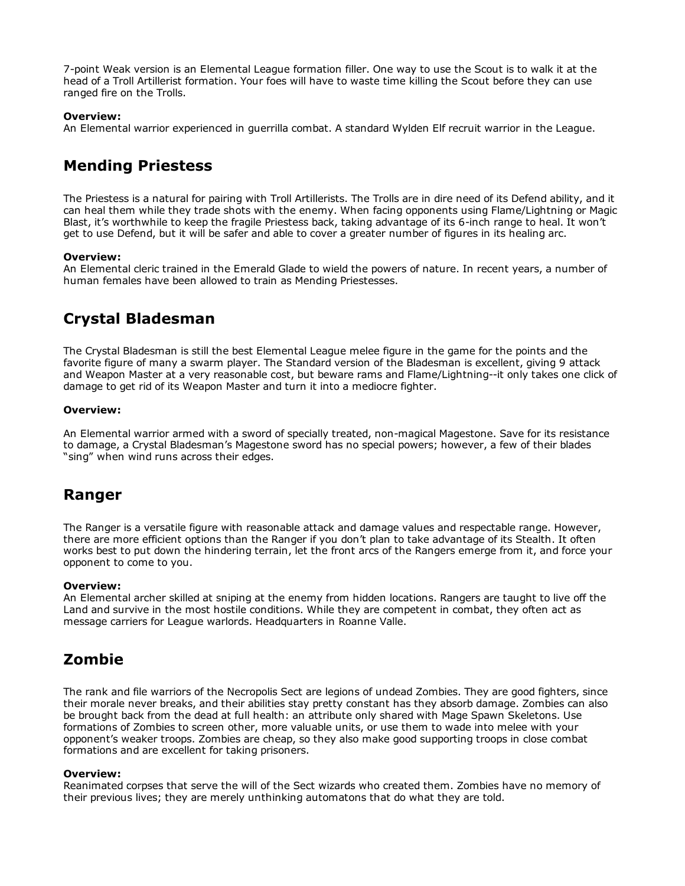7-point Weak version is an Elemental League formation filler. One way to use the Scout is to walk it at the head of a Troll Artillerist formation. Your foes will have to waste time killing the Scout before they can use ranged fire on the Trolls.

### Overview:

An Elemental warrior experienced in guerrilla combat. A standard Wylden Elf recruit warrior in the League.

# Mending Priestess

The Priestess is a natural for pairing with Troll Artillerists. The Trolls are in dire need of its Defend ability, and it can heal them while they trade shots with the enemy. When facing opponents using Flame/Lightning or Magic Blast, it's worthwhile to keep the fragile Priestess back, taking advantage of its 6-inch range to heal. It won't get to use Defend, but it will be safer and able to cover a greater number of figures in its healing arc.

### Overview:

An Elemental cleric trained in the Emerald Glade to wield the powers of nature. In recent years, a number of human females have been allowed to train as Mending Priestesses.

# Crystal Bladesman

The Crystal Bladesman is still the best Elemental League melee figure in the game for the points and the favorite figure of many a swarm player. The Standard version of the Bladesman is excellent, giving 9 attack and Weapon Master at a very reasonable cost, but beware rams and Flame/Lightning--it only takes one click of damage to get rid of its Weapon Master and turn it into a mediocre fighter.

### Overview:

An Elemental warrior armed with a sword of specially treated, non-magical Magestone. Save for its resistance to damage, a Crystal Bladesman's Magestone sword has no special powers; however, a few of their blades "sing" when wind runs across their edges.

## Ranger

The Ranger is a versatile figure with reasonable attack and damage values and respectable range. However, there are more efficient options than the Ranger if you don't plan to take advantage of its Stealth. It often works best to put down the hindering terrain, let the front arcs of the Rangers emerge from it, and force your opponent to come to you.

### Overview:

An Elemental archer skilled at sniping at the enemy from hidden locations. Rangers are taught to live off the Land and survive in the most hostile conditions. While they are competent in combat, they often act as message carriers for League warlords. Headquarters in Roanne Valle.

# Zombie

The rank and file warriors of the Necropolis Sect are legions of undead Zombies. They are good fighters, since their morale never breaks, and their abilities stay pretty constant has they absorb damage. Zombies can also be brought back from the dead at full health: an attribute only shared with Mage Spawn Skeletons. Use formations of Zombies to screen other, more valuable units, or use them to wade into melee with your opponent's weaker troops. Zombies are cheap, so they also make good supporting troops in close combat formations and are excellent for taking prisoners.

### Overview:

Reanimated corpses that serve the will of the Sect wizards who created them. Zombies have no memory of their previous lives; they are merely unthinking automatons that do what they are told.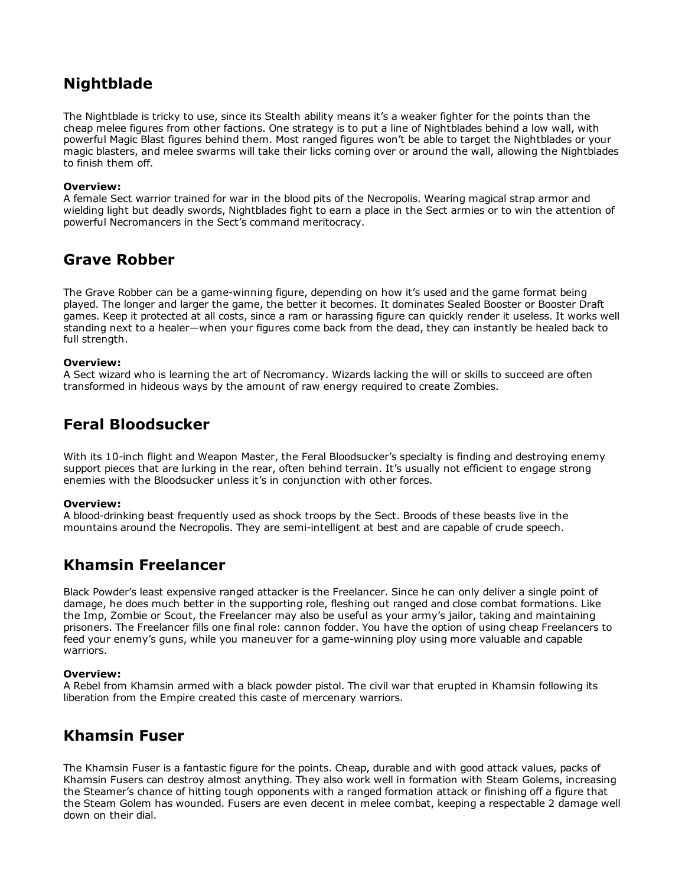# Nightblade

The Nightblade is tricky to use, since its Stealth ability means it's a weaker fighter for the points than the cheap melee figures from other factions. One strategy is to put a line of Nightblades behind a low wall, with powerful Magic Blast figures behind them. Most ranged figures won't be able to target the Nightblades or your magic blasters, and melee swarms will take their licks coming over or around the wall, allowing the Nightblades to finish them off.

## Overview:

A female Sect warrior trained for war in the blood pits of the Necropolis. Wearing magical strap armor and wielding light but deadly swords, Nightblades fight to earn a place in the Sect armies or to win the attention of powerful Necromancers in the Sect's command meritocracy.

## Grave Robber

The Grave Robber can be a game-winning figure, depending on how it's used and the game format being played. The longer and larger the game, the better it becomes. It dominates Sealed Booster or Booster Draft games. Keep it protected at all costs, since a ram or harassing figure can quickly render it useless. It works well standing next to a healer―when your figures come back from the dead, they can instantly be healed back to full strength.

### Overview:

A Sect wizard who is learning the art of Necromancy. Wizards lacking the will or skills to succeed are often transformed in hideous ways by the amount of raw energy required to create Zombies.

# Feral Bloodsucker

With its 10-inch flight and Weapon Master, the Feral Bloodsucker's specialty is finding and destroying enemy support pieces that are lurking in the rear, often behind terrain. It's usually not efficient to engage strong enemies with the Bloodsucker unless it's in conjunction with other forces.

### Overview:

A blood-drinking beast frequently used as shock troops by the Sect. Broods of these beasts live in the mountains around the Necropolis. They are semi-intelligent at best and are capable of crude speech.

## Khamsin Freelancer

Black Powder's least expensive ranged attacker is the Freelancer. Since he can only deliver a single point of damage, he does much better in the supporting role, fleshing out ranged and close combat formations. Like the Imp, Zombie or Scout, the Freelancer may also be useful as your army's jailor, taking and maintaining prisoners. The Freelancer fills one final role: cannon fodder. You have the option of using cheap Freelancers to feed your enemy's guns, while you maneuver for a game-winning ploy using more valuable and capable warriors.

## Overview:

A Rebel from Khamsin armed with a black powder pistol. The civil war that erupted in Khamsin following its liberation from the Empire created this caste of mercenary warriors.

## Khamsin Fuser

The Khamsin Fuser is a fantastic figure for the points. Cheap, durable and with good attack values, packs of Khamsin Fusers can destroy almost anything. They also work well in formation with Steam Golems, increasing the Steamer's chance of hitting tough opponents with a ranged formation attack or finishing off a figure that the Steam Golem has wounded. Fusers are even decent in melee combat, keeping a respectable 2 damage well down on their dial.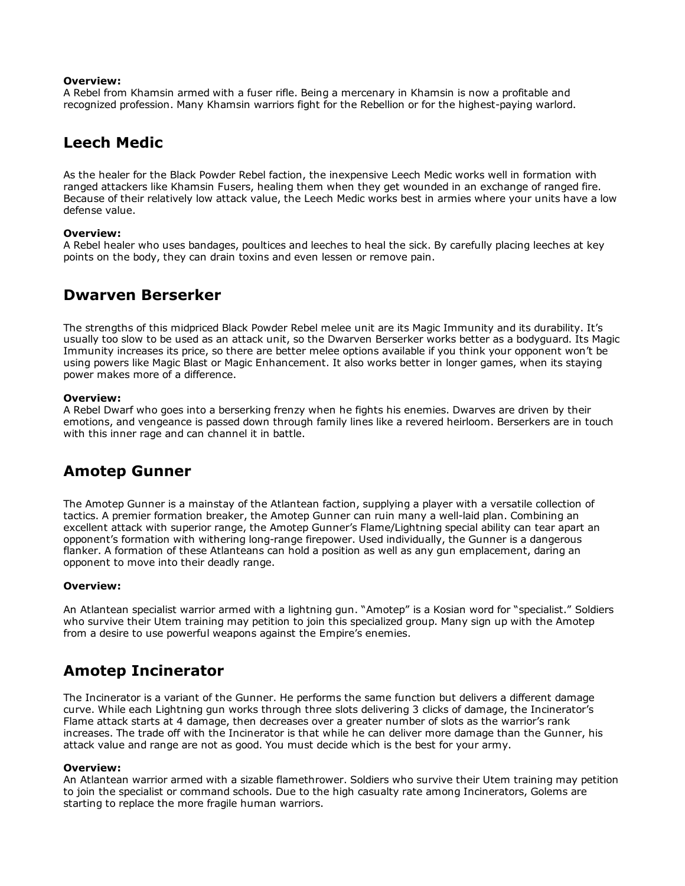#### Overview:

A Rebel from Khamsin armed with a fuser rifle. Being a mercenary in Khamsin is now a profitable and recognized profession. Many Khamsin warriors fight for the Rebellion or for the highest-paying warlord.

## Leech Medic

As the healer for the Black Powder Rebel faction, the inexpensive Leech Medic works well in formation with ranged attackers like Khamsin Fusers, healing them when they get wounded in an exchange of ranged fire. Because of their relatively low attack value, the Leech Medic works best in armies where your units have a low defense value.

### Overview:

A Rebel healer who uses bandages, poultices and leeches to heal the sick. By carefully placing leeches at key points on the body, they can drain toxins and even lessen or remove pain.

## Dwarven Berserker

The strengths of this midpriced Black Powder Rebel melee unit are its Magic Immunity and its durability. It's usually too slow to be used as an attack unit, so the Dwarven Berserker works better as a bodyguard. Its Magic Immunity increases its price, so there are better melee options available if you think your opponent won't be using powers like Magic Blast or Magic Enhancement. It also works better in longer games, when its staying power makes more of a difference.

#### Overview:

A Rebel Dwarf who goes into a berserking frenzy when he fights his enemies. Dwarves are driven by their emotions, and vengeance is passed down through family lines like a revered heirloom. Berserkers are in touch with this inner rage and can channel it in battle.

## Amotep Gunner

The Amotep Gunner is a mainstay of the Atlantean faction, supplying a player with a versatile collection of tactics. A premier formation breaker, the Amotep Gunner can ruin many a well-laid plan. Combining an excellent attack with superior range, the Amotep Gunner's Flame/Lightning special ability can tear apart an opponent's formation with withering long-range firepower. Used individually, the Gunner is a dangerous flanker. A formation of these Atlanteans can hold a position as well as any gun emplacement, daring an opponent to move into their deadly range.

### Overview:

An Atlantean specialist warrior armed with a lightning gun. "Amotep" is a Kosian word for "specialist." Soldiers who survive their Utem training may petition to join this specialized group. Many sign up with the Amotep from a desire to use powerful weapons against the Empire's enemies.

## Amotep Incinerator

The Incinerator is a variant of the Gunner. He performs the same function but delivers a different damage curve. While each Lightning gun works through three slots delivering 3 clicks of damage, the Incinerator's Flame attack starts at 4 damage, then decreases over a greater number of slots as the warrior's rank increases. The trade off with the Incinerator is that while he can deliver more damage than the Gunner, his attack value and range are not as good. You must decide which is the best for your army.

### Overview:

An Atlantean warrior armed with a sizable flamethrower. Soldiers who survive their Utem training may petition to join the specialist or command schools. Due to the high casualty rate among Incinerators, Golems are starting to replace the more fragile human warriors.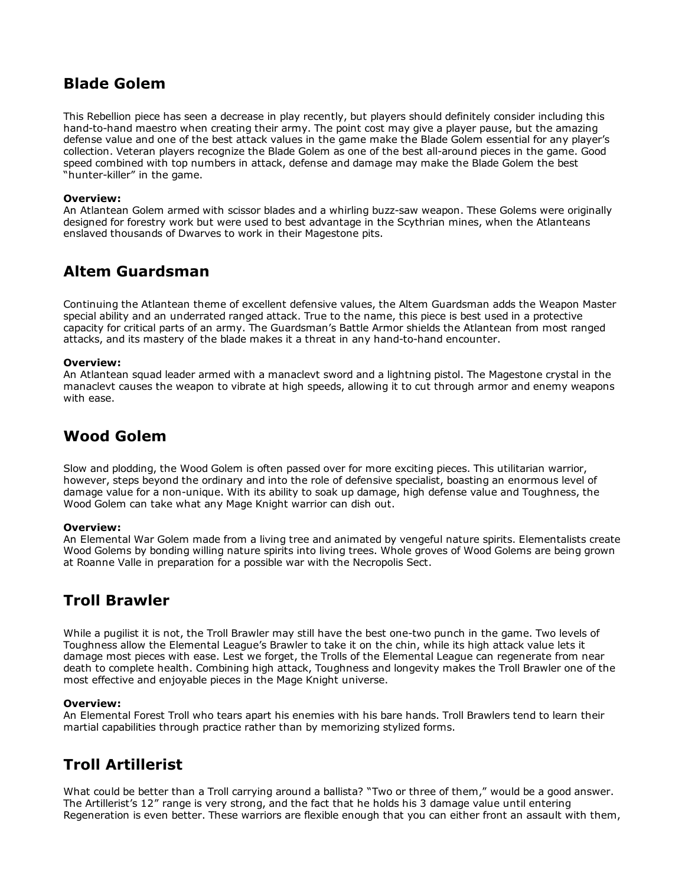# Blade Golem

This Rebellion piece has seen a decrease in play recently, but players should definitely consider including this hand-to-hand maestro when creating their army. The point cost may give a player pause, but the amazing defense value and one of the best attack values in the game make the Blade Golem essential for any player's collection. Veteran players recognize the Blade Golem as one of the best all-around pieces in the game. Good speed combined with top numbers in attack, defense and damage may make the Blade Golem the best "hunter-killer" in the game.

## Overview:

An Atlantean Golem armed with scissor blades and a whirling buzz-saw weapon. These Golems were originally designed for forestry work but were used to best advantage in the Scythrian mines, when the Atlanteans enslaved thousands of Dwarves to work in their Magestone pits.

# Altem Guardsman

Continuing the Atlantean theme of excellent defensive values, the Altem Guardsman adds the Weapon Master special ability and an underrated ranged attack. True to the name, this piece is best used in a protective capacity for critical parts of an army. The Guardsman's Battle Armor shields the Atlantean from most ranged attacks, and its mastery of the blade makes it a threat in any hand-to-hand encounter.

### Overview:

An Atlantean squad leader armed with a manaclevt sword and a lightning pistol. The Magestone crystal in the manaclevt causes the weapon to vibrate at high speeds, allowing it to cut through armor and enemy weapons with ease.

# Wood Golem

Slow and plodding, the Wood Golem is often passed over for more exciting pieces. This utilitarian warrior, however, steps beyond the ordinary and into the role of defensive specialist, boasting an enormous level of damage value for a non-unique. With its ability to soak up damage, high defense value and Toughness, the Wood Golem can take what any Mage Knight warrior can dish out.

## Overview:

An Elemental War Golem made from a living tree and animated by vengeful nature spirits. Elementalists create Wood Golems by bonding willing nature spirits into living trees. Whole groves of Wood Golems are being grown at Roanne Valle in preparation for a possible war with the Necropolis Sect.

## Troll Brawler

While a pugilist it is not, the Troll Brawler may still have the best one-two punch in the game. Two levels of Toughness allow the Elemental League's Brawler to take it on the chin, while its high attack value lets it damage most pieces with ease. Lest we forget, the Trolls of the Elemental League can regenerate from near death to complete health. Combining high attack, Toughness and longevity makes the Troll Brawler one of the most effective and enjoyable pieces in the Mage Knight universe.

## Overview:

An Elemental Forest Troll who tears apart his enemies with his bare hands. Troll Brawlers tend to learn their martial capabilities through practice rather than by memorizing stylized forms.

# Troll Artillerist

What could be better than a Troll carrying around a ballista? "Two or three of them," would be a good answer. The Artillerist's 12" range is very strong, and the fact that he holds his 3 damage value until entering Regeneration is even better. These warriors are flexible enough that you can either front an assault with them,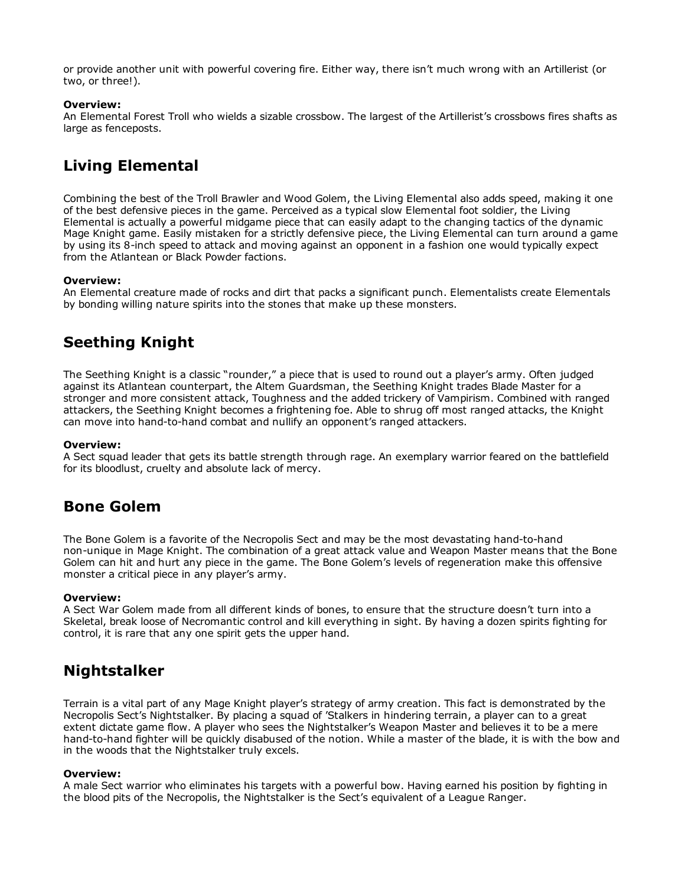or provide another unit with powerful covering fire. Either way, there isn't much wrong with an Artillerist (or two, or three!).

## Overview:

An Elemental Forest Troll who wields a sizable crossbow. The largest of the Artillerist's crossbows fires shafts as large as fenceposts.

# Living Elemental

Combining the best of the Troll Brawler and Wood Golem, the Living Elemental also adds speed, making it one of the best defensive pieces in the game. Perceived as a typical slow Elemental foot soldier, the Living Elemental is actually a powerful midgame piece that can easily adapt to the changing tactics of the dynamic Mage Knight game. Easily mistaken for a strictly defensive piece, the Living Elemental can turn around a game by using its 8-inch speed to attack and moving against an opponent in a fashion one would typically expect from the Atlantean or Black Powder factions.

### Overview:

An Elemental creature made of rocks and dirt that packs a significant punch. Elementalists create Elementals by bonding willing nature spirits into the stones that make up these monsters.

# Seething Knight

The Seething Knight is a classic "rounder," a piece that is used to round out a player's army. Often judged against its Atlantean counterpart, the Altem Guardsman, the Seething Knight trades Blade Master for a stronger and more consistent attack, Toughness and the added trickery of Vampirism. Combined with ranged attackers, the Seething Knight becomes a frightening foe. Able to shrug off most ranged attacks, the Knight can move into hand-to-hand combat and nullify an opponent's ranged attackers.

### Overview:

A Sect squad leader that gets its battle strength through rage. An exemplary warrior feared on the battlefield for its bloodlust, cruelty and absolute lack of mercy.

## Bone Golem

The Bone Golem is a favorite of the Necropolis Sect and may be the most devastating hand-to-hand non-unique in Mage Knight. The combination of a great attack value and Weapon Master means that the Bone Golem can hit and hurt any piece in the game. The Bone Golem's levels of regeneration make this offensive monster a critical piece in any player's army.

### Overview:

A Sect War Golem made from all different kinds of bones, to ensure that the structure doesn't turn into a Skeletal, break loose of Necromantic control and kill everything in sight. By having a dozen spirits fighting for control, it is rare that any one spirit gets the upper hand.

## Nightstalker

Terrain is a vital part of any Mage Knight player's strategy of army creation. This fact is demonstrated by the Necropolis Sect's Nightstalker. By placing a squad of 'Stalkers in hindering terrain, a player can to a great extent dictate game flow. A player who sees the Nightstalker's Weapon Master and believes it to be a mere hand-to-hand fighter will be quickly disabused of the notion. While a master of the blade, it is with the bow and in the woods that the Nightstalker truly excels.

### Overview:

A male Sect warrior who eliminates his targets with a powerful bow. Having earned his position by fighting in the blood pits of the Necropolis, the Nightstalker is the Sect's equivalent of a League Ranger.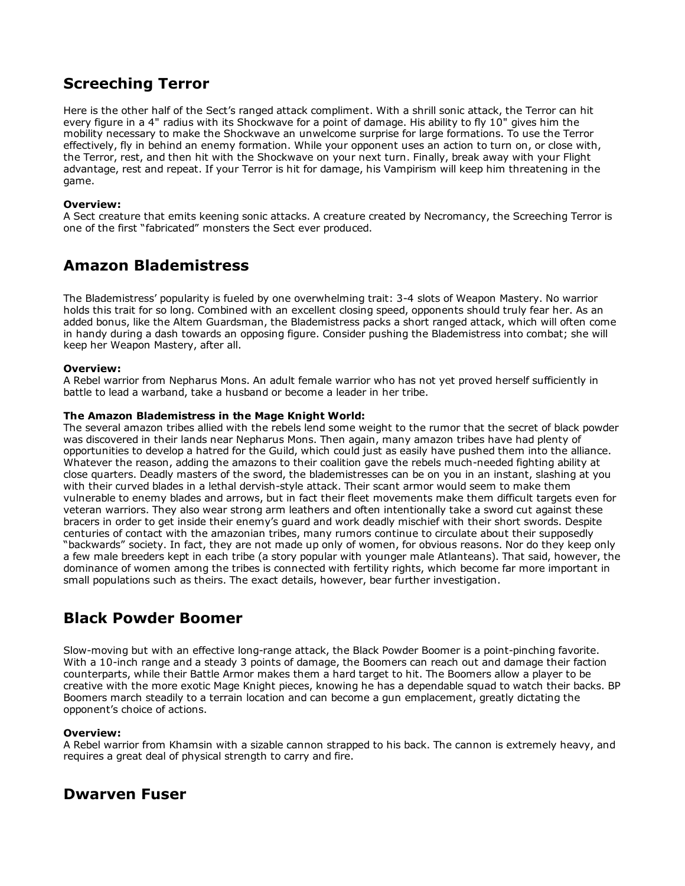# Screeching Terror

Here is the other half of the Sect's ranged attack compliment. With a shrill sonic attack, the Terror can hit every figure in a 4" radius with its Shockwave for a point of damage. His ability to fly 10" gives him the mobility necessary to make the Shockwave an unwelcome surprise for large formations. To use the Terror effectively, fly in behind an enemy formation. While your opponent uses an action to turn on, or close with, the Terror, rest, and then hit with the Shockwave on your next turn. Finally, break away with your Flight advantage, rest and repeat. If your Terror is hit for damage, his Vampirism will keep him threatening in the game.

## Overview:

A Sect creature that emits keening sonic attacks. A creature created by Necromancy, the Screeching Terror is one of the first "fabricated" monsters the Sect ever produced.

## Amazon Blademistress

The Blademistress' popularity is fueled by one overwhelming trait: 34 slots of Weapon Mastery. No warrior holds this trait for so long. Combined with an excellent closing speed, opponents should truly fear her. As an added bonus, like the Altem Guardsman, the Blademistress packs a short ranged attack, which will often come in handy during a dash towards an opposing figure. Consider pushing the Blademistress into combat; she will keep her Weapon Mastery, after all.

### Overview:

A Rebel warrior from Nepharus Mons. An adult female warrior who has not yet proved herself sufficiently in battle to lead a warband, take a husband or become a leader in her tribe.

### The Amazon Blademistress in the Mage Knight World:

The several amazon tribes allied with the rebels lend some weight to the rumor that the secret of black powder was discovered in their lands near Nepharus Mons. Then again, many amazon tribes have had plenty of opportunities to develop a hatred for the Guild, which could just as easily have pushed them into the alliance. Whatever the reason, adding the amazons to their coalition gave the rebels much-needed fighting ability at close quarters. Deadly masters of the sword, the blademistresses can be on you in an instant, slashing at you with their curved blades in a lethal dervish-style attack. Their scant armor would seem to make them vulnerable to enemy blades and arrows, but in fact their fleet movements make them difficult targets even for veteran warriors. They also wear strong arm leathers and often intentionally take a sword cut against these bracers in order to get inside their enemy's guard and work deadly mischief with their short swords. Despite centuries of contact with the amazonian tribes, many rumors continue to circulate about their supposedly "backwards" society. In fact, they are not made up only of women, for obvious reasons. Nor do they keep only a few male breeders kept in each tribe (a story popular with younger male Atlanteans). That said, however, the dominance of women among the tribes is connected with fertility rights, which become far more important in small populations such as theirs. The exact details, however, bear further investigation.

## Black Powder Boomer

Slow-moving but with an effective long-range attack, the Black Powder Boomer is a point-pinching favorite. With a 10-inch range and a steady 3 points of damage, the Boomers can reach out and damage their faction counterparts, while their Battle Armor makes them a hard target to hit. The Boomers allow a player to be creative with the more exotic Mage Knight pieces, knowing he has a dependable squad to watch their backs. BP Boomers march steadily to a terrain location and can become a gun emplacement, greatly dictating the opponent's choice of actions.

### Overview:

A Rebel warrior from Khamsin with a sizable cannon strapped to his back. The cannon is extremely heavy, and requires a great deal of physical strength to carry and fire.

## Dwarven Fuser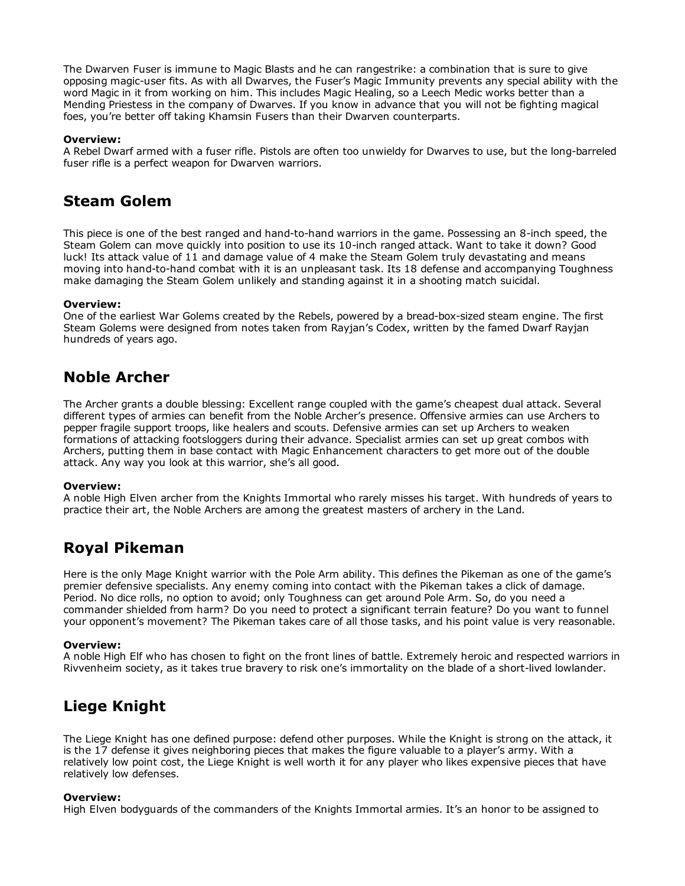The Dwarven Fuser is immune to Magic Blasts and he can rangestrike: a combination that is sure to give opposing magic-user fits. As with all Dwarves, the Fuser's Magic Immunity prevents any special ability with the word Magic in it from working on him. This includes Magic Healing, so a Leech Medic works better than a Mending Priestess in the company of Dwarves. If you know in advance that you will not be fighting magical foes, you're better off taking Khamsin Fusers than their Dwarven counterparts.

### Overview:

A Rebel Dwarf armed with a fuser rifle. Pistols are often too unwieldy for Dwarves to use, but the long-barreled fuser rifle is a perfect weapon for Dwarven warriors.

## Steam Golem

This piece is one of the best ranged and hand-to-hand warriors in the game. Possessing an 8-inch speed, the Steam Golem can move quickly into position to use its 10-inch ranged attack. Want to take it down? Good luck! Its attack value of 11 and damage value of 4 make the Steam Golem truly devastating and means moving into hand-to-hand combat with it is an unpleasant task. Its 18 defense and accompanying Toughness make damaging the Steam Golem unlikely and standing against it in a shooting match suicidal.

### Overview:

One of the earliest War Golems created by the Rebels, powered by a bread-box-sized steam engine. The first Steam Golems were designed from notes taken from Rayjan's Codex, written by the famed Dwarf Rayjan hundreds of years ago.

## Noble Archer

The Archer grants a double blessing: Excellent range coupled with the game's cheapest dual attack. Several different types of armies can benefit from the Noble Archer's presence. Offensive armies can use Archers to pepper fragile support troops, like healers and scouts. Defensive armies can set up Archers to weaken formations of attacking footsloggers during their advance. Specialist armies can set up great combos with Archers, putting them in base contact with Magic Enhancement characters to get more out of the double attack. Any way you look at this warrior, she's all good.

### Overview:

A noble High Elven archer from the Knights Immortal who rarely misses his target. With hundreds of years to practice their art, the Noble Archers are among the greatest masters of archery in the Land.

# Royal Pikeman

Here is the only Mage Knight warrior with the Pole Arm ability. This defines the Pikeman as one of the game's premier defensive specialists. Any enemy coming into contact with the Pikeman takes a click of damage. Period. No dice rolls, no option to avoid; only Toughness can get around Pole Arm. So, do you need a commander shielded from harm? Do you need to protect a significant terrain feature? Do you want to funnel your opponent's movement? The Pikeman takes care of all those tasks, and his point value is very reasonable.

### Overview:

A noble High Elf who has chosen to fight on the front lines of battle. Extremely heroic and respected warriors in Rivvenheim society, as it takes true bravery to risk one's immortality on the blade of a short-lived lowlander.

# Liege Knight

The Liege Knight has one defined purpose: defend other purposes. While the Knight is strong on the attack, it is the 17 defense it gives neighboring pieces that makes the figure valuable to a player's army. With a relatively low point cost, the Liege Knight is well worth it for any player who likes expensive pieces that have relatively low defenses.

### Overview:

High Elven bodyguards of the commanders of the Knights Immortal armies. It's an honor to be assigned to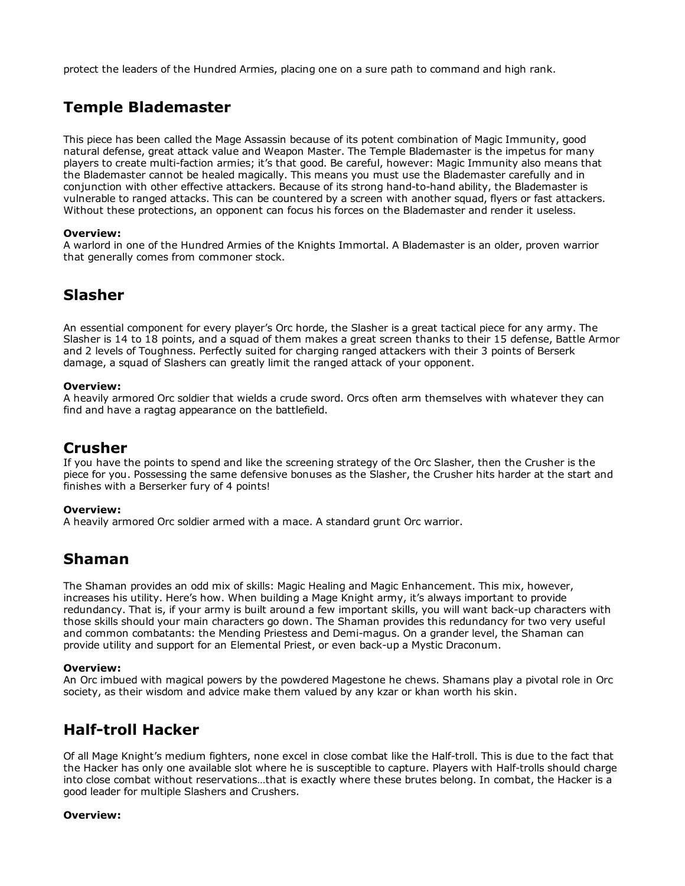protect the leaders of the Hundred Armies, placing one on a sure path to command and high rank.

# Temple Blademaster

This piece has been called the Mage Assassin because of its potent combination of Magic Immunity, good natural defense, great attack value and Weapon Master. The Temple Blademaster is the impetus for many players to create multi-faction armies; it's that good. Be careful, however: Magic Immunity also means that the Blademaster cannot be healed magically. This means you must use the Blademaster carefully and in conjunction with other effective attackers. Because of its strong hand-to-hand ability, the Blademaster is vulnerable to ranged attacks. This can be countered by a screen with another squad, flyers or fast attackers. Without these protections, an opponent can focus his forces on the Blademaster and render it useless.

## Overview:

A warlord in one of the Hundred Armies of the Knights Immortal. A Blademaster is an older, proven warrior that generally comes from commoner stock.

## Slasher

An essential component for every player's Orc horde, the Slasher is a great tactical piece for any army. The Slasher is 14 to 18 points, and a squad of them makes a great screen thanks to their 15 defense, Battle Armor and 2 levels of Toughness. Perfectly suited for charging ranged attackers with their 3 points of Berserk damage, a squad of Slashers can greatly limit the ranged attack of your opponent.

### Overview:

A heavily armored Orc soldier that wields a crude sword. Orcs often arm themselves with whatever they can find and have a ragtag appearance on the battlefield.

## Crusher

If you have the points to spend and like the screening strategy of the Orc Slasher, then the Crusher is the piece for you. Possessing the same defensive bonuses as the Slasher, the Crusher hits harder at the start and finishes with a Berserker fury of 4 points!

### Overview:

A heavily armored Orc soldier armed with a mace. A standard grunt Orc warrior.

## Shaman

The Shaman provides an odd mix of skills: Magic Healing and Magic Enhancement. This mix, however, increases his utility. Here's how. When building a Mage Knight army, it's always important to provide redundancy. That is, if your army is built around a few important skills, you will want back-up characters with those skills should your main characters go down. The Shaman provides this redundancy for two very useful and common combatants: the Mending Priestess and Demimagus. On a grander level, the Shaman can provide utility and support for an Elemental Priest, or even back-up a Mystic Draconum.

### Overview:

An Orc imbued with magical powers by the powdered Magestone he chews. Shamans play a pivotal role in Orc society, as their wisdom and advice make them valued by any kzar or khan worth his skin.

## Half-troll Hacker

Of all Mage Knight's medium fighters, none excel in close combat like the Half-troll. This is due to the fact that the Hacker has only one available slot where he is susceptible to capture. Players with Half-trolls should charge into close combat without reservations…that is exactly where these brutes belong. In combat, the Hacker is a good leader for multiple Slashers and Crushers.

### Overview: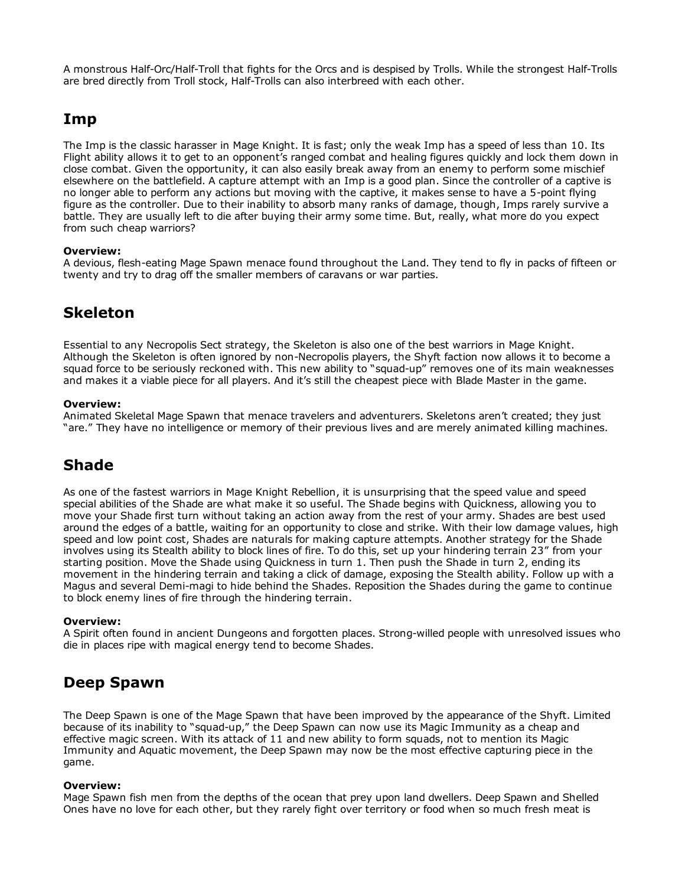A monstrous Half-Orc/Half-Troll that fights for the Orcs and is despised by Trolls. While the strongest Half-Trolls are bred directly from Troll stock, Half-Trolls can also interbreed with each other.

## Imp

The Imp is the classic harasser in Mage Knight. It is fast; only the weak Imp has a speed of less than 10. Its Flight ability allows it to get to an opponent's ranged combat and healing figures quickly and lock them down in close combat. Given the opportunity, it can also easily break away from an enemy to perform some mischief elsewhere on the battlefield. A capture attempt with an Imp is a good plan. Since the controller of a captive is no longer able to perform any actions but moving with the captive, it makes sense to have a 5-point flying figure as the controller. Due to their inability to absorb many ranks of damage, though, Imps rarely survive a battle. They are usually left to die after buying their army some time. But, really, what more do you expect from such cheap warriors?

### Overview:

A devious, flesh-eating Mage Spawn menace found throughout the Land. They tend to fly in packs of fifteen or twenty and try to drag off the smaller members of caravans or war parties.

# Skeleton

Essential to any Necropolis Sect strategy, the Skeleton is also one of the best warriors in Mage Knight. Although the Skeleton is often ignored by non-Necropolis players, the Shyft faction now allows it to become a squad force to be seriously reckoned with. This new ability to "squad-up" removes one of its main weaknesses and makes it a viable piece for all players. And it's still the cheapest piece with Blade Master in the game.

### Overview:

Animated Skeletal Mage Spawn that menace travelers and adventurers. Skeletons aren't created; they just "are." They have no intelligence or memory of their previous lives and are merely animated killing machines.

# Shade

As one of the fastest warriors in Mage Knight Rebellion, it is unsurprising that the speed value and speed special abilities of the Shade are what make it so useful. The Shade begins with Quickness, allowing you to move your Shade first turn without taking an action away from the rest of your army. Shades are best used around the edges of a battle, waiting for an opportunity to close and strike. With their low damage values, high speed and low point cost, Shades are naturals for making capture attempts. Another strategy for the Shade involves using its Stealth ability to block lines of fire. To do this, set up your hindering terrain 23" from your starting position. Move the Shade using Quickness in turn 1. Then push the Shade in turn 2, ending its movement in the hindering terrain and taking a click of damage, exposing the Stealth ability. Follow up with a Magus and several Demi-magi to hide behind the Shades. Reposition the Shades during the game to continue to block enemy lines of fire through the hindering terrain.

## Overview:

A Spirit often found in ancient Dungeons and forgotten places. Strong-willed people with unresolved issues who die in places ripe with magical energy tend to become Shades.

# Deep Spawn

The Deep Spawn is one of the Mage Spawn that have been improved by the appearance of the Shyft. Limited because of its inability to "squad-up," the Deep Spawn can now use its Magic Immunity as a cheap and effective magic screen. With its attack of 11 and new ability to form squads, not to mention its Magic Immunity and Aquatic movement, the Deep Spawn may now be the most effective capturing piece in the game.

### Overview:

Mage Spawn fish men from the depths of the ocean that prey upon land dwellers. Deep Spawn and Shelled Ones have no love for each other, but they rarely fight over territory or food when so much fresh meat is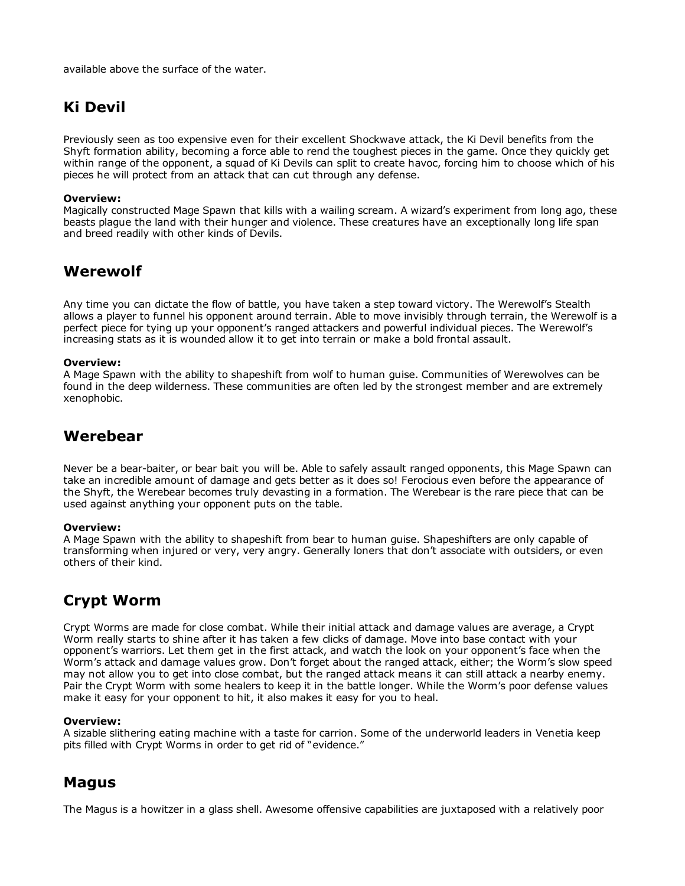available above the surface of the water.

# Ki Devil

Previously seen as too expensive even for their excellent Shockwave attack, the Ki Devil benefits from the Shyft formation ability, becoming a force able to rend the toughest pieces in the game. Once they quickly get within range of the opponent, a squad of Ki Devils can split to create havoc, forcing him to choose which of his pieces he will protect from an attack that can cut through any defense.

### Overview:

Magically constructed Mage Spawn that kills with a wailing scream. A wizard's experiment from long ago, these beasts plague the land with their hunger and violence. These creatures have an exceptionally long life span and breed readily with other kinds of Devils.

# Werewolf

Any time you can dictate the flow of battle, you have taken a step toward victory. The Werewolf's Stealth allows a player to funnel his opponent around terrain. Able to move invisibly through terrain, the Werewolf is a perfect piece for tying up your opponent's ranged attackers and powerful individual pieces. The Werewolf's increasing stats as it is wounded allow it to get into terrain or make a bold frontal assault.

## Overview:

A Mage Spawn with the ability to shapeshift from wolf to human guise. Communities of Werewolves can be found in the deep wilderness. These communities are often led by the strongest member and are extremely xenophobic.

# Werebear

Never be a bear-baiter, or bear bait you will be. Able to safely assault ranged opponents, this Mage Spawn can take an incredible amount of damage and gets better as it does so! Ferocious even before the appearance of the Shyft, the Werebear becomes truly devasting in a formation. The Werebear is the rare piece that can be used against anything your opponent puts on the table.

## Overview:

A Mage Spawn with the ability to shapeshift from bear to human guise. Shapeshifters are only capable of transforming when injured or very, very angry. Generally loners that don't associate with outsiders, or even others of their kind.

# Crypt Worm

Crypt Worms are made for close combat. While their initial attack and damage values are average, a Crypt Worm really starts to shine after it has taken a few clicks of damage. Move into base contact with your opponent's warriors. Let them get in the first attack, and watch the look on your opponent's face when the Worm's attack and damage values grow. Don't forget about the ranged attack, either; the Worm's slow speed may not allow you to get into close combat, but the ranged attack means it can still attack a nearby enemy. Pair the Crypt Worm with some healers to keep it in the battle longer. While the Worm's poor defense values make it easy for your opponent to hit, it also makes it easy for you to heal.

## Overview:

A sizable slithering eating machine with a taste for carrion. Some of the underworld leaders in Venetia keep pits filled with Crypt Worms in order to get rid of "evidence."

## Magus

The Magus is a howitzer in a glass shell. Awesome offensive capabilities are juxtaposed with a relatively poor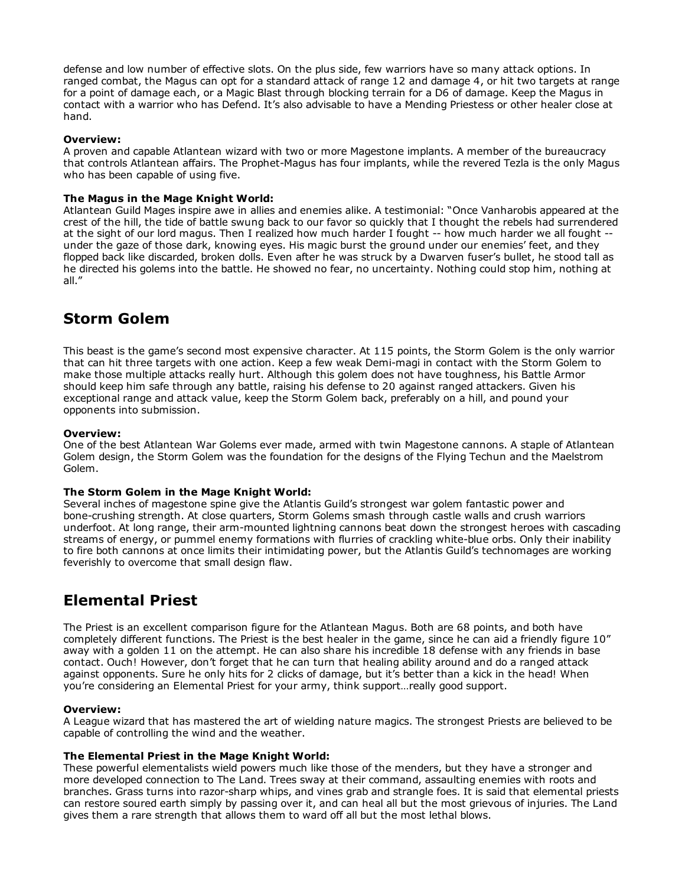defense and low number of effective slots. On the plus side, few warriors have so many attack options. In ranged combat, the Magus can opt for a standard attack of range 12 and damage 4, or hit two targets at range for a point of damage each, or a Magic Blast through blocking terrain for a D6 of damage. Keep the Magus in contact with a warrior who has Defend. It's also advisable to have a Mending Priestess or other healer close at hand.

### Overview:

A proven and capable Atlantean wizard with two or more Magestone implants. A member of the bureaucracy that controls Atlantean affairs. The Prophet-Magus has four implants, while the revered Tezla is the only Magus who has been capable of using five.

### The Magus in the Mage Knight World:

Atlantean Guild Mages inspire awe in allies and enemies alike. A testimonial: "Once Vanharobis appeared at the crest of the hill, the tide of battle swung back to our favor so quickly that I thought the rebels had surrendered at the sight of our lord magus. Then I realized how much harder I fought -- how much harder we all fought -under the gaze of those dark, knowing eyes. His magic burst the ground under our enemies' feet, and they flopped back like discarded, broken dolls. Even after he was struck by a Dwarven fuser's bullet, he stood tall as he directed his golems into the battle. He showed no fear, no uncertainty. Nothing could stop him, nothing at all."

# Storm Golem

This beast is the game's second most expensive character. At 115 points, the Storm Golem is the only warrior that can hit three targets with one action. Keep a few weak Demi-magi in contact with the Storm Golem to make those multiple attacks really hurt. Although this golem does not have toughness, his Battle Armor should keep him safe through any battle, raising his defense to 20 against ranged attackers. Given his exceptional range and attack value, keep the Storm Golem back, preferably on a hill, and pound your opponents into submission.

### Overview:

One of the best Atlantean War Golems ever made, armed with twin Magestone cannons. A staple of Atlantean Golem design, the Storm Golem was the foundation for the designs of the Flying Techun and the Maelstrom Golem.

### The Storm Golem in the Mage Knight World:

Several inches of magestone spine give the Atlantis Guild's strongest war golem fantastic power and bone-crushing strength. At close quarters, Storm Golems smash through castle walls and crush warriors underfoot. At long range, their arm-mounted lightning cannons beat down the strongest heroes with cascading streams of energy, or pummel enemy formations with flurries of crackling white-blue orbs. Only their inability to fire both cannons at once limits their intimidating power, but the Atlantis Guild's technomages are working feverishly to overcome that small design flaw.

# Elemental Priest

The Priest is an excellent comparison figure for the Atlantean Magus. Both are 68 points, and both have completely different functions. The Priest is the best healer in the game, since he can aid a friendly figure 10" away with a golden 11 on the attempt. He can also share his incredible 18 defense with any friends in base contact. Ouch! However, don't forget that he can turn that healing ability around and do a ranged attack against opponents. Sure he only hits for 2 clicks of damage, but it's better than a kick in the head! When you're considering an Elemental Priest for your army, think support…really good support.

### Overview:

A League wizard that has mastered the art of wielding nature magics. The strongest Priests are believed to be capable of controlling the wind and the weather.

### The Elemental Priest in the Mage Knight World:

These powerful elementalists wield powers much like those of the menders, but they have a stronger and more developed connection to The Land. Trees sway at their command, assaulting enemies with roots and branches. Grass turns into razor-sharp whips, and vines grab and strangle foes. It is said that elemental priests can restore soured earth simply by passing over it, and can heal all but the most grievous of injuries. The Land gives them a rare strength that allows them to ward off all but the most lethal blows.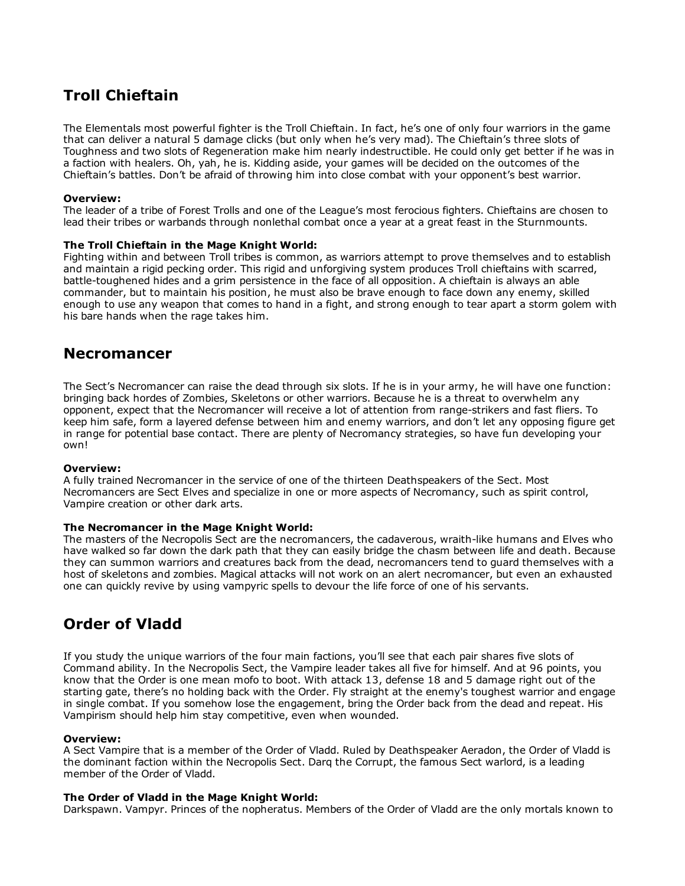# Troll Chieftain

The Elementals most powerful fighter is the Troll Chieftain. In fact, he's one of only four warriors in the game that can deliver a natural 5 damage clicks (but only when he's very mad). The Chieftain's three slots of Toughness and two slots of Regeneration make him nearly indestructible. He could only get better if he was in a faction with healers. Oh, yah, he is. Kidding aside, your games will be decided on the outcomes of the Chieftain's battles. Don't be afraid of throwing him into close combat with your opponent's best warrior.

### Overview:

The leader of a tribe of Forest Trolls and one of the League's most ferocious fighters. Chieftains are chosen to lead their tribes or warbands through nonlethal combat once a year at a great feast in the Sturnmounts.

### The Troll Chieftain in the Mage Knight World:

Fighting within and between Troll tribes is common, as warriors attempt to prove themselves and to establish and maintain a rigid pecking order. This rigid and unforgiving system produces Troll chieftains with scarred, battle-toughened hides and a grim persistence in the face of all opposition. A chieftain is always an able commander, but to maintain his position, he must also be brave enough to face down any enemy, skilled enough to use any weapon that comes to hand in a fight, and strong enough to tear apart a storm golem with his bare hands when the rage takes him.

## Necromancer

The Sect's Necromancer can raise the dead through six slots. If he is in your army, he will have one function: bringing back hordes of Zombies, Skeletons or other warriors. Because he is a threat to overwhelm any opponent, expect that the Necromancer will receive a lot of attention from range-strikers and fast fliers. To keep him safe, form a layered defense between him and enemy warriors, and don't let any opposing figure get in range for potential base contact. There are plenty of Necromancy strategies, so have fun developing your own!

### Overview:

A fully trained Necromancer in the service of one of the thirteen Deathspeakers of the Sect. Most Necromancers are Sect Elves and specialize in one or more aspects of Necromancy, such as spirit control, Vampire creation or other dark arts.

### The Necromancer in the Mage Knight World:

The masters of the Necropolis Sect are the necromancers, the cadaverous, wraith-like humans and Elves who have walked so far down the dark path that they can easily bridge the chasm between life and death. Because they can summon warriors and creatures back from the dead, necromancers tend to guard themselves with a host of skeletons and zombies. Magical attacks will not work on an alert necromancer, but even an exhausted one can quickly revive by using vampyric spells to devour the life force of one of his servants.

# Order of Vladd

If you study the unique warriors of the four main factions, you'll see that each pair shares five slots of Command ability. In the Necropolis Sect, the Vampire leader takes all five for himself. And at 96 points, you know that the Order is one mean mofo to boot. With attack 13, defense 18 and 5 damage right out of the starting gate, there's no holding back with the Order. Fly straight at the enemy's toughest warrior and engage in single combat. If you somehow lose the engagement, bring the Order back from the dead and repeat. His Vampirism should help him stay competitive, even when wounded.

### Overview:

A Sect Vampire that is a member of the Order of Vladd. Ruled by Deathspeaker Aeradon, the Order of Vladd is the dominant faction within the Necropolis Sect. Darq the Corrupt, the famous Sect warlord, is a leading member of the Order of Vladd.

### The Order of Vladd in the Mage Knight World:

Darkspawn. Vampyr. Princes of the nopheratus. Members of the Order of Vladd are the only mortals known to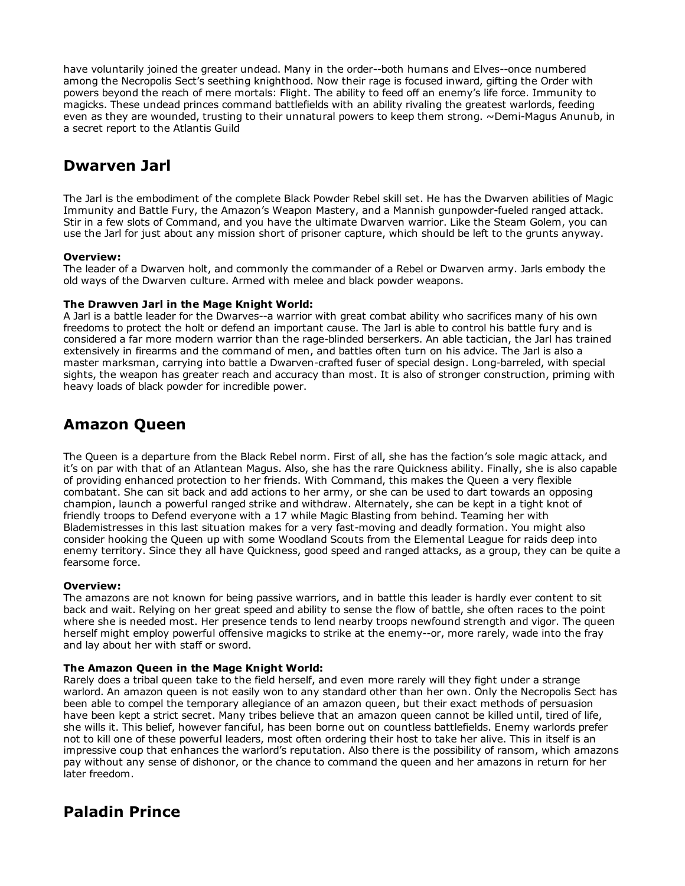have voluntarily joined the greater undead. Many in the order--both humans and Elves--once numbered among the Necropolis Sect's seething knighthood. Now their rage is focused inward, gifting the Order with powers beyond the reach of mere mortals: Flight. The ability to feed off an enemy's life force. Immunity to magicks. These undead princes command battlefields with an ability rivaling the greatest warlords, feeding even as they are wounded, trusting to their unnatural powers to keep them strong. ~Demi-Magus Anunub, in a secret report to the Atlantis Guild

# Dwarven Jarl

The Jarl is the embodiment of the complete Black Powder Rebel skill set. He has the Dwarven abilities of Magic Immunity and Battle Fury, the Amazon's Weapon Mastery, and a Mannish gunpowder-fueled ranged attack. Stir in a few slots of Command, and you have the ultimate Dwarven warrior. Like the Steam Golem, you can use the Jarl for just about any mission short of prisoner capture, which should be left to the grunts anyway.

## Overview:

The leader of a Dwarven holt, and commonly the commander of a Rebel or Dwarven army. Jarls embody the old ways of the Dwarven culture. Armed with melee and black powder weapons.

## The Drawven Jarl in the Mage Knight World:

A Jarl is a battle leader for the Dwarves--a warrior with great combat ability who sacrifices many of his own freedoms to protect the holt or defend an important cause. The Jarl is able to control his battle fury and is considered a far more modern warrior than the rage-blinded berserkers. An able tactician, the Jarl has trained extensively in firearms and the command of men, and battles often turn on his advice. The Jarl is also a master marksman, carrying into battle a Dwarven-crafted fuser of special design. Long-barreled, with special sights, the weapon has greater reach and accuracy than most. It is also of stronger construction, priming with heavy loads of black powder for incredible power.

## Amazon Queen

The Queen is a departure from the Black Rebel norm. First of all, she has the faction's sole magic attack, and it's on par with that of an Atlantean Magus. Also, she has the rare Quickness ability. Finally, she is also capable of providing enhanced protection to her friends. With Command, this makes the Queen a very flexible combatant. She can sit back and add actions to her army, or she can be used to dart towards an opposing champion, launch a powerful ranged strike and withdraw. Alternately, she can be kept in a tight knot of friendly troops to Defend everyone with a 17 while Magic Blasting from behind. Teaming her with Blademistresses in this last situation makes for a very fast-moving and deadly formation. You might also consider hooking the Queen up with some Woodland Scouts from the Elemental League for raids deep into enemy territory. Since they all have Quickness, good speed and ranged attacks, as a group, they can be quite a fearsome force.

### Overview:

The amazons are not known for being passive warriors, and in battle this leader is hardly ever content to sit back and wait. Relying on her great speed and ability to sense the flow of battle, she often races to the point where she is needed most. Her presence tends to lend nearby troops newfound strength and vigor. The queen herself might employ powerful offensive magicks to strike at the enemy--or, more rarely, wade into the fray and lay about her with staff or sword.

## The Amazon Queen in the Mage Knight World:

Rarely does a tribal queen take to the field herself, and even more rarely will they fight under a strange warlord. An amazon queen is not easily won to any standard other than her own. Only the Necropolis Sect has been able to compel the temporary allegiance of an amazon queen, but their exact methods of persuasion have been kept a strict secret. Many tribes believe that an amazon queen cannot be killed until, tired of life, she wills it. This belief, however fanciful, has been borne out on countless battlefields. Enemy warlords prefer not to kill one of these powerful leaders, most often ordering their host to take her alive. This in itself is an impressive coup that enhances the warlord's reputation. Also there is the possibility of ransom, which amazons pay without any sense of dishonor, or the chance to command the queen and her amazons in return for her later freedom.

# Paladin Prince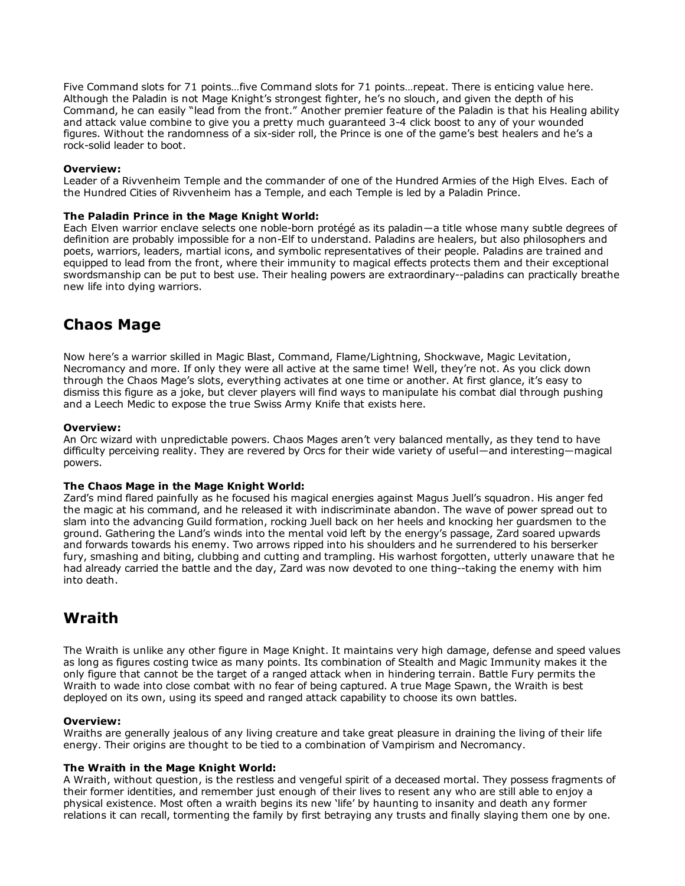Five Command slots for 71 points…five Command slots for 71 points…repeat. There is enticing value here. Although the Paladin is not Mage Knight's strongest fighter, he's no slouch, and given the depth of his Command, he can easily "lead from the front." Another premier feature of the Paladin is that his Healing ability and attack value combine to give you a pretty much guaranteed 3-4 click boost to any of your wounded figures. Without the randomness of a six-sider roll, the Prince is one of the game's best healers and he's a rock-solid leader to boot.

#### Overview:

Leader of a Rivvenheim Temple and the commander of one of the Hundred Armies of the High Elves. Each of the Hundred Cities of Rivvenheim has a Temple, and each Temple is led by a Paladin Prince.

### The Paladin Prince in the Mage Knight World:

Each Elven warrior enclave selects one noble-born protégé as its paladin—a title whose many subtle degrees of definition are probably impossible for a non-Elf to understand. Paladins are healers, but also philosophers and poets, warriors, leaders, martial icons, and symbolic representatives of their people. Paladins are trained and equipped to lead from the front, where their immunity to magical effects protects them and their exceptional swordsmanship can be put to best use. Their healing powers are extraordinary--paladins can practically breathe new life into dying warriors.

## Chaos Mage

Now here's a warrior skilled in Magic Blast, Command, Flame/Lightning, Shockwave, Magic Levitation, Necromancy and more. If only they were all active at the same time! Well, they're not. As you click down through the Chaos Mage's slots, everything activates at one time or another. At first glance, it's easy to dismiss this figure as a joke, but clever players will find ways to manipulate his combat dial through pushing and a Leech Medic to expose the true Swiss Army Knife that exists here.

### Overview:

An Orc wizard with unpredictable powers. Chaos Mages aren't very balanced mentally, as they tend to have difficulty perceiving reality. They are revered by Orcs for their wide variety of useful―and interesting―magical powers.

### The Chaos Mage in the Mage Knight World:

Zard's mind flared painfully as he focused his magical energies against Magus Juell's squadron. His anger fed the magic at his command, and he released it with indiscriminate abandon. The wave of power spread out to slam into the advancing Guild formation, rocking Juell back on her heels and knocking her guardsmen to the ground. Gathering the Land's winds into the mental void left by the energy's passage, Zard soared upwards and forwards towards his enemy. Two arrows ripped into his shoulders and he surrendered to his berserker fury, smashing and biting, clubbing and cutting and trampling. His warhost forgotten, utterly unaware that he had already carried the battle and the day, Zard was now devoted to one thing--taking the enemy with him into death.

## Wraith

The Wraith is unlike any other figure in Mage Knight. It maintains very high damage, defense and speed values as long as figures costing twice as many points. Its combination of Stealth and Magic Immunity makes it the only figure that cannot be the target of a ranged attack when in hindering terrain. Battle Fury permits the Wraith to wade into close combat with no fear of being captured. A true Mage Spawn, the Wraith is best deployed on its own, using its speed and ranged attack capability to choose its own battles.

### Overview:

Wraiths are generally jealous of any living creature and take great pleasure in draining the living of their life energy. Their origins are thought to be tied to a combination of Vampirism and Necromancy.

### The Wraith in the Mage Knight World:

A Wraith, without question, is the restless and vengeful spirit of a deceased mortal. They possess fragments of their former identities, and remember just enough of their lives to resent any who are still able to enjoy a physical existence. Most often a wraith begins its new 'life' by haunting to insanity and death any former relations it can recall, tormenting the family by first betraying any trusts and finally slaying them one by one.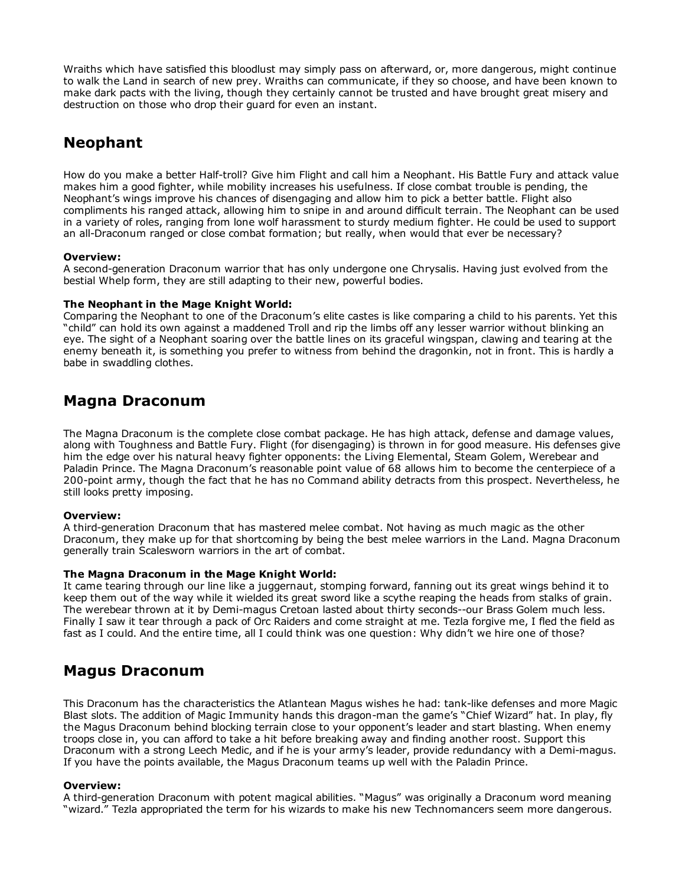Wraiths which have satisfied this bloodlust may simply pass on afterward, or, more dangerous, might continue to walk the Land in search of new prey. Wraiths can communicate, if they so choose, and have been known to make dark pacts with the living, though they certainly cannot be trusted and have brought great misery and destruction on those who drop their guard for even an instant.

# Neophant

How do you make a better Half-troll? Give him Flight and call him a Neophant. His Battle Fury and attack value makes him a good fighter, while mobility increases his usefulness. If close combat trouble is pending, the Neophant's wings improve his chances of disengaging and allow him to pick a better battle. Flight also compliments his ranged attack, allowing him to snipe in and around difficult terrain. The Neophant can be used in a variety of roles, ranging from lone wolf harassment to sturdy medium fighter. He could be used to support an all-Draconum ranged or close combat formation; but really, when would that ever be necessary?

## Overview:

A second-generation Draconum warrior that has only undergone one Chrysalis. Having just evolved from the bestial Whelp form, they are still adapting to their new, powerful bodies.

### The Neophant in the Mage Knight World:

Comparing the Neophant to one of the Draconum's elite castes is like comparing a child to his parents. Yet this "child" can hold its own against a maddened Troll and rip the limbs off any lesser warrior without blinking an eye. The sight of a Neophant soaring over the battle lines on its graceful wingspan, clawing and tearing at the enemy beneath it, is something you prefer to witness from behind the dragonkin, not in front. This is hardly a babe in swaddling clothes.

## Magna Draconum

The Magna Draconum is the complete close combat package. He has high attack, defense and damage values, along with Toughness and Battle Fury. Flight (for disengaging) is thrown in for good measure. His defenses give him the edge over his natural heavy fighter opponents: the Living Elemental, Steam Golem, Werebear and Paladin Prince. The Magna Draconum's reasonable point value of 68 allows him to become the centerpiece of a 200-point army, though the fact that he has no Command ability detracts from this prospect. Nevertheless, he still looks pretty imposing.

## Overview:

A third-generation Draconum that has mastered melee combat. Not having as much magic as the other Draconum, they make up for that shortcoming by being the best melee warriors in the Land. Magna Draconum generally train Scalesworn warriors in the art of combat.

### The Magna Draconum in the Mage Knight World:

It came tearing through our line like a juggernaut, stomping forward, fanning out its great wings behind it to keep them out of the way while it wielded its great sword like a scythe reaping the heads from stalks of grain. The werebear thrown at it by Demi-magus Cretoan lasted about thirty seconds--our Brass Golem much less. Finally I saw it tear through a pack of Orc Raiders and come straight at me. Tezla forgive me, I fled the field as fast as I could. And the entire time, all I could think was one question: Why didn't we hire one of those?

## Magus Draconum

This Draconum has the characteristics the Atlantean Magus wishes he had: tank-like defenses and more Magic Blast slots. The addition of Magic Immunity hands this dragon-man the game's "Chief Wizard" hat. In play, fly the Magus Draconum behind blocking terrain close to your opponent's leader and start blasting. When enemy troops close in, you can afford to take a hit before breaking away and finding another roost. Support this Draconum with a strong Leech Medic, and if he is your army's leader, provide redundancy with a Demi-magus. If you have the points available, the Magus Draconum teams up well with the Paladin Prince.

### Overview:

A third-generation Draconum with potent magical abilities. "Magus" was originally a Draconum word meaning "wizard." Tezla appropriated the term for his wizards to make his new Technomancers seem more dangerous.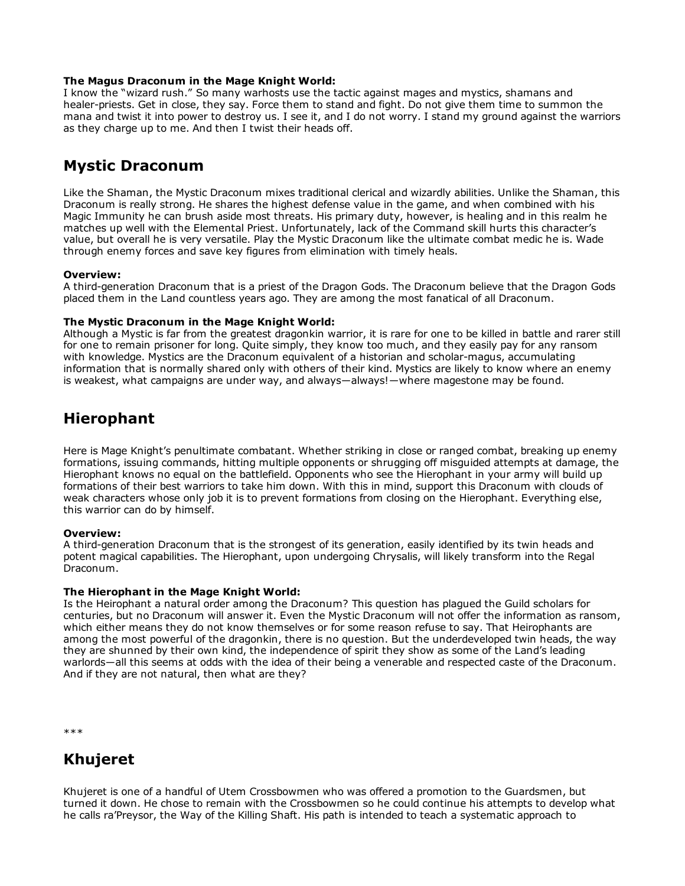### The Magus Draconum in the Mage Knight World:

I know the "wizard rush." So many warhosts use the tactic against mages and mystics, shamans and healer-priests. Get in close, they say. Force them to stand and fight. Do not give them time to summon the mana and twist it into power to destroy us. I see it, and I do not worry. I stand my ground against the warriors as they charge up to me. And then I twist their heads off.

# Mystic Draconum

Like the Shaman, the Mystic Draconum mixes traditional clerical and wizardly abilities. Unlike the Shaman, this Draconum is really strong. He shares the highest defense value in the game, and when combined with his Magic Immunity he can brush aside most threats. His primary duty, however, is healing and in this realm he matches up well with the Elemental Priest. Unfortunately, lack of the Command skill hurts this character's value, but overall he is very versatile. Play the Mystic Draconum like the ultimate combat medic he is. Wade through enemy forces and save key figures from elimination with timely heals.

## Overview:

A third-generation Draconum that is a priest of the Dragon Gods. The Draconum believe that the Dragon Gods placed them in the Land countless years ago. They are among the most fanatical of all Draconum.

### The Mystic Draconum in the Mage Knight World:

Although a Mystic is far from the greatest dragonkin warrior, it is rare for one to be killed in battle and rarer still for one to remain prisoner for long. Quite simply, they know too much, and they easily pay for any ransom with knowledge. Mystics are the Draconum equivalent of a historian and scholar-magus, accumulating information that is normally shared only with others of their kind. Mystics are likely to know where an enemy is weakest, what campaigns are under way, and always—always!—where magestone may be found.

## Hierophant

Here is Mage Knight's penultimate combatant. Whether striking in close or ranged combat, breaking up enemy formations, issuing commands, hitting multiple opponents or shrugging off misguided attempts at damage, the Hierophant knows no equal on the battlefield. Opponents who see the Hierophant in your army will build up formations of their best warriors to take him down. With this in mind, support this Draconum with clouds of weak characters whose only job it is to prevent formations from closing on the Hierophant. Everything else, this warrior can do by himself.

### Overview:

A third-generation Draconum that is the strongest of its generation, easily identified by its twin heads and potent magical capabilities. The Hierophant, upon undergoing Chrysalis, will likely transform into the Regal Draconum.

## The Hierophant in the Mage Knight World:

Is the Heirophant a natural order among the Draconum? This question has plagued the Guild scholars for centuries, but no Draconum will answer it. Even the Mystic Draconum will not offer the information as ransom, which either means they do not know themselves or for some reason refuse to say. That Heirophants are among the most powerful of the dragonkin, there is no question. But the underdeveloped twin heads, the way they are shunned by their own kind, the independence of spirit they show as some of the Land's leading warlords―all this seems at odds with the idea of their being a venerable and respected caste of the Draconum. And if they are not natural, then what are they?

\*\*\*

# Khujeret

Khujeret is one of a handful of Utem Crossbowmen who was offered a promotion to the Guardsmen, but turned it down. He chose to remain with the Crossbowmen so he could continue his attempts to develop what he calls ra'Preysor, the Way of the Killing Shaft. His path is intended to teach a systematic approach to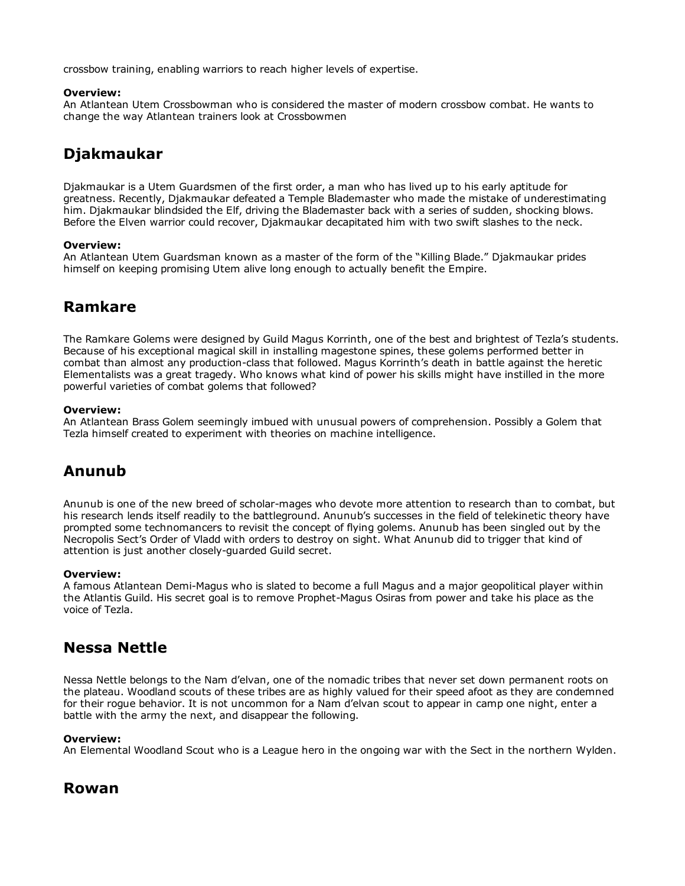crossbow training, enabling warriors to reach higher levels of expertise.

### Overview:

An Atlantean Utem Crossbowman who is considered the master of modern crossbow combat. He wants to change the way Atlantean trainers look at Crossbowmen

# Djakmaukar

Djakmaukar is a Utem Guardsmen of the first order, a man who has lived up to his early aptitude for greatness. Recently, Djakmaukar defeated a Temple Blademaster who made the mistake of underestimating him. Djakmaukar blindsided the Elf, driving the Blademaster back with a series of sudden, shocking blows. Before the Elven warrior could recover, Djakmaukar decapitated him with two swift slashes to the neck.

### Overview:

An Atlantean Utem Guardsman known as a master of the form of the "Killing Blade." Djakmaukar prides himself on keeping promising Utem alive long enough to actually benefit the Empire.

# Ramkare

The Ramkare Golems were designed by Guild Magus Korrinth, one of the best and brightest of Tezla's students. Because of his exceptional magical skill in installing magestone spines, these golems performed better in combat than almost any production-class that followed. Magus Korrinth's death in battle against the heretic Elementalists was a great tragedy. Who knows what kind of power his skills might have instilled in the more powerful varieties of combat golems that followed?

### Overview:

An Atlantean Brass Golem seemingly imbued with unusual powers of comprehension. Possibly a Golem that Tezla himself created to experiment with theories on machine intelligence.

# Anunub

Anunub is one of the new breed of scholar-mages who devote more attention to research than to combat, but his research lends itself readily to the battleground. Anunub's successes in the field of telekinetic theory have prompted some technomancers to revisit the concept of flying golems. Anunub has been singled out by the Necropolis Sect's Order of Vladd with orders to destroy on sight. What Anunub did to trigger that kind of attention is just another closely-quarded Guild secret.

### Overview:

A famous Atlantean Demi-Magus who is slated to become a full Magus and a major geopolitical player within the Atlantis Guild. His secret goal is to remove Prophet-Magus Osiras from power and take his place as the voice of Tezla.

## Nessa Nettle

Nessa Nettle belongs to the Nam d'elvan, one of the nomadic tribes that never set down permanent roots on the plateau. Woodland scouts of these tribes are as highly valued for their speed afoot as they are condemned for their rogue behavior. It is not uncommon for a Nam d'elvan scout to appear in camp one night, enter a battle with the army the next, and disappear the following.

### Overview:

An Elemental Woodland Scout who is a League hero in the ongoing war with the Sect in the northern Wylden.

## Rowan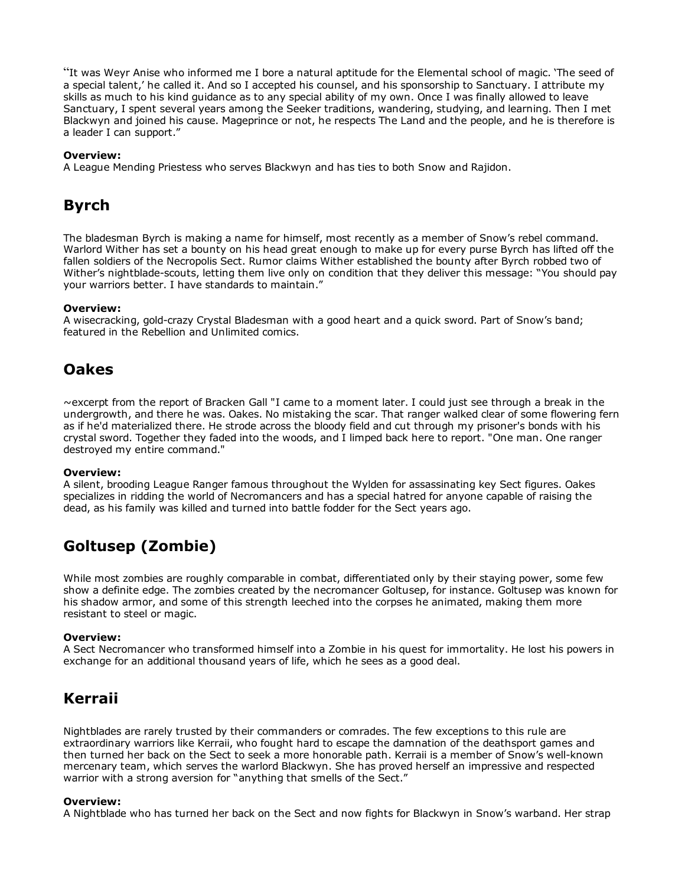"It was Weyr Anise who informed me I bore a natural aptitude for the Elemental school of magic. 'The seed of a special talent,' he called it. And so I accepted his counsel, and his sponsorship to Sanctuary. I attribute my skills as much to his kind guidance as to any special ability of my own. Once I was finally allowed to leave Sanctuary, I spent several years among the Seeker traditions, wandering, studying, and learning. Then I met Blackwyn and joined his cause. Mageprince or not, he respects The Land and the people, and he is therefore is a leader I can support."

### Overview:

A League Mending Priestess who serves Blackwyn and has ties to both Snow and Rajidon.

# Byrch

The bladesman Byrch is making a name for himself, most recently as a member of Snow's rebel command. Warlord Wither has set a bounty on his head great enough to make up for every purse Byrch has lifted off the fallen soldiers of the Necropolis Sect. Rumor claims Wither established the bounty after Byrch robbed two of Wither's nightblade-scouts, letting them live only on condition that they deliver this message: "You should pay your warriors better. I have standards to maintain."

### Overview:

A wisecracking, gold-crazy Crystal Bladesman with a good heart and a quick sword. Part of Snow's band; featured in the Rebellion and Unlimited comics.

## Oakes

~excerpt from the report of Bracken Gall "I came to a moment later. I could just see through a break in the undergrowth, and there he was. Oakes. No mistaking the scar. That ranger walked clear of some flowering fern as if he'd materialized there. He strode across the bloody field and cut through my prisoner's bonds with his crystal sword. Together they faded into the woods, and I limped back here to report. "One man. One ranger destroyed my entire command."

### Overview:

A silent, brooding League Ranger famous throughout the Wylden for assassinating key Sect figures. Oakes specializes in ridding the world of Necromancers and has a special hatred for anyone capable of raising the dead, as his family was killed and turned into battle fodder for the Sect years ago.

# Goltusep (Zombie)

While most zombies are roughly comparable in combat, differentiated only by their staying power, some few show a definite edge. The zombies created by the necromancer Goltusep, for instance. Goltusep was known for his shadow armor, and some of this strength leeched into the corpses he animated, making them more resistant to steel or magic.

### Overview:

A Sect Necromancer who transformed himself into a Zombie in his quest for immortality. He lost his powers in exchange for an additional thousand years of life, which he sees as a good deal.

# Kerraii

Nightblades are rarely trusted by their commanders or comrades. The few exceptions to this rule are extraordinary warriors like Kerraii, who fought hard to escape the damnation of the deathsport games and then turned her back on the Sect to seek a more honorable path. Kerraii is a member of Snow's well-known mercenary team, which serves the warlord Blackwyn. She has proved herself an impressive and respected warrior with a strong aversion for "anything that smells of the Sect."

### Overview:

A Nightblade who has turned her back on the Sect and now fights for Blackwyn in Snow's warband. Her strap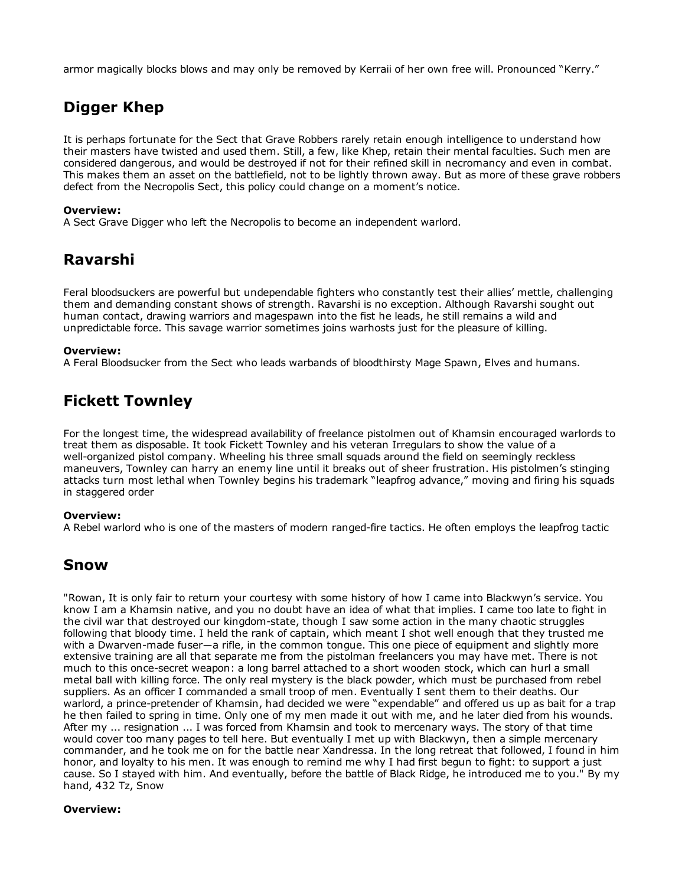armor magically blocks blows and may only be removed by Kerraii of her own free will. Pronounced "Kerry."

# Digger Khep

It is perhaps fortunate for the Sect that Grave Robbers rarely retain enough intelligence to understand how their masters have twisted and used them. Still, a few, like Khep, retain their mental faculties. Such men are considered dangerous, and would be destroyed if not for their refined skill in necromancy and even in combat. This makes them an asset on the battlefield, not to be lightly thrown away. But as more of these grave robbers defect from the Necropolis Sect, this policy could change on a moment's notice.

## Overview:

A Sect Grave Digger who left the Necropolis to become an independent warlord.

# Ravarshi

Feral bloodsuckers are powerful but undependable fighters who constantly test their allies' mettle, challenging them and demanding constant shows of strength. Ravarshi is no exception. Although Ravarshi sought out human contact, drawing warriors and magespawn into the fist he leads, he still remains a wild and unpredictable force. This savage warrior sometimes joins warhosts just for the pleasure of killing.

### Overview:

A Feral Bloodsucker from the Sect who leads warbands of bloodthirsty Mage Spawn, Elves and humans.

# Fickett Townley

For the longest time, the widespread availability of freelance pistolmen out of Khamsin encouraged warlords to treat them as disposable. It took Fickett Townley and his veteran Irregulars to show the value of a well-organized pistol company. Wheeling his three small squads around the field on seemingly reckless maneuvers, Townley can harry an enemy line until it breaks out of sheer frustration. His pistolmen's stinging attacks turn most lethal when Townley begins his trademark "leapfrog advance," moving and firing his squads in staggered order

### Overview:

A Rebel warlord who is one of the masters of modern ranged-fire tactics. He often employs the leapfrog tactic

## Snow

"Rowan, It is only fair to return your courtesy with some history of how I came into Blackwyn's service. You know I am a Khamsin native, and you no doubt have an idea of what that implies. I came too late to fight in the civil war that destroyed our kingdom-state, though I saw some action in the many chaotic struggles following that bloody time. I held the rank of captain, which meant I shot well enough that they trusted me with a Dwarven-made fuser—a rifle, in the common tongue. This one piece of equipment and slightly more extensive training are all that separate me from the pistolman freelancers you may have met. There is not much to this once-secret weapon: a long barrel attached to a short wooden stock, which can hurl a small metal ball with killing force. The only real mystery is the black powder, which must be purchased from rebel suppliers. As an officer I commanded a small troop of men. Eventually I sent them to their deaths. Our warlord, a prince-pretender of Khamsin, had decided we were "expendable" and offered us up as bait for a trap he then failed to spring in time. Only one of my men made it out with me, and he later died from his wounds. After my ... resignation ... I was forced from Khamsin and took to mercenary ways. The story of that time would cover too many pages to tell here. But eventually I met up with Blackwyn, then a simple mercenary commander, and he took me on for the battle near Xandressa. In the long retreat that followed, I found in him honor, and loyalty to his men. It was enough to remind me why I had first begun to fight: to support a just cause. So I stayed with him. And eventually, before the battle of Black Ridge, he introduced me to you." By my hand, 432 Tz, Snow

### Overview: